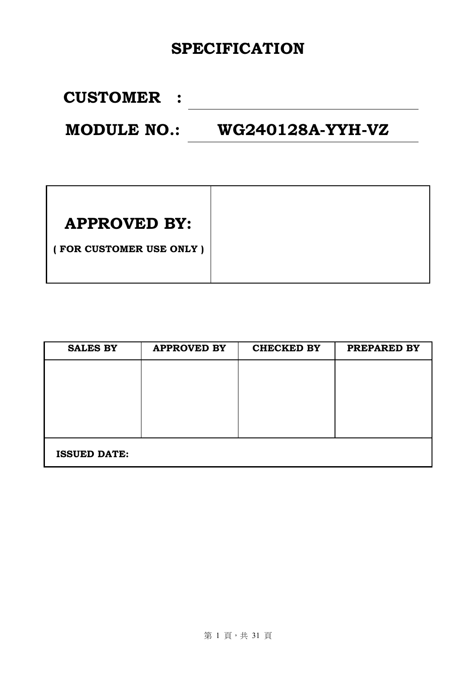## **SPECIFICATION**

**CUSTOMER :**

**MODULE NO.: WG240128A-YYH-VZ** 

| <b>APPROVED BY:</b>     |
|-------------------------|
| (FOR CUSTOMER USE ONLY) |
|                         |

| <b>SALES BY</b>     | <b>APPROVED BY</b> | <b>CHECKED BY</b> | PREPARED BY |
|---------------------|--------------------|-------------------|-------------|
|                     |                    |                   |             |
|                     |                    |                   |             |
|                     |                    |                   |             |
|                     |                    |                   |             |
|                     |                    |                   |             |
| <b>ISSUED DATE:</b> |                    |                   |             |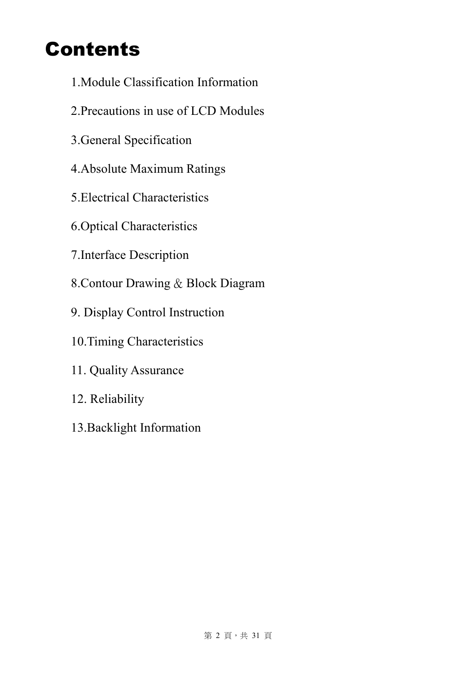## Contents

- 1.Module Classification Information
- 2.Precautions in use of LCD Modules
- 3.General Specification
- 4.Absolute Maximum Ratings
- 5.Electrical Characteristics
- 6.Optical Characteristics
- 7.Interface Description
- 8.Contour Drawing & Block Diagram
- 9. Display Control Instruction
- 10.Timing Characteristics
- 11. Quality Assurance
- 12. Reliability
- 13.Backlight Information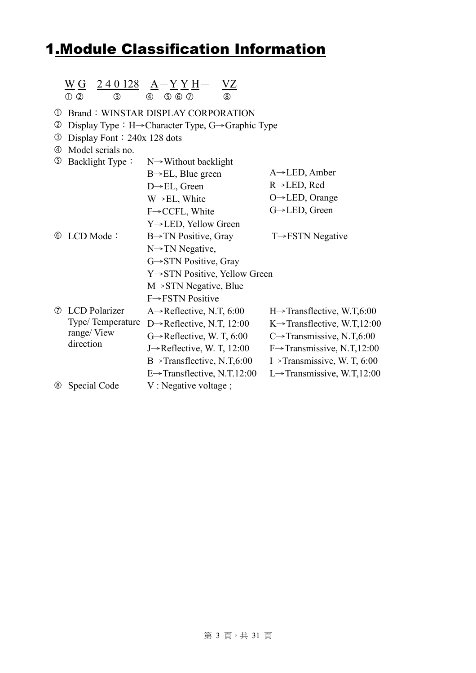## 1.Module Classification Information

|                               | $\begin{array}{c c c c c c c c} \underline{\text{W}}\,\underline{\text{G}} & \underline{\text{240128}} & \underline{\text{A}} - \underline{\text{Y}}\,\underline{\text{Y}}\,\underline{\text{H}} - \\ \text{\textcircled{\tiny{+}}} & \text{\textcircled{\tiny{+}}} & \text{\textcircled{\tiny{+}}} & \text{\textcircled{\tiny{+}}} & \text{\textcircled{\tiny{+}}} \end{array}$ |                                                                                                                                                                                                                                                             |                                                                                                                                                                                                                                                                 |
|-------------------------------|----------------------------------------------------------------------------------------------------------------------------------------------------------------------------------------------------------------------------------------------------------------------------------------------------------------------------------------------------------------------------------|-------------------------------------------------------------------------------------------------------------------------------------------------------------------------------------------------------------------------------------------------------------|-----------------------------------------------------------------------------------------------------------------------------------------------------------------------------------------------------------------------------------------------------------------|
| $_{\oplus}$<br>②<br>③         | Display Font: $240x$ 128 dots                                                                                                                                                                                                                                                                                                                                                    | <b>Brand: WINSTAR DISPLAY CORPORATION</b><br>Display Type : $H \rightarrow$ Character Type, $G \rightarrow$ Graphic Type                                                                                                                                    |                                                                                                                                                                                                                                                                 |
| $^{\circledR}$<br>$\circledS$ | Model serials no.<br>Backlight Type:                                                                                                                                                                                                                                                                                                                                             | $N \rightarrow W$ ithout backlight<br>$B \rightarrow EL$ , Blue green<br>$D \rightarrow EL$ , Green<br>$W \rightarrow EL$ , White<br>$F \rightarrow CCFL$ , White<br>Y→LED, Yellow Green                                                                    | $A \rightarrow$ LED, Amber<br>$R \rightarrow$ LED, Red<br>$O \rightarrow$ LED, Orange<br>G→LED, Green                                                                                                                                                           |
| ⑥                             | LCD Mode:                                                                                                                                                                                                                                                                                                                                                                        | $B \rightarrow TN$ Positive, Gray<br>$N \rightarrow TN$ Negative,<br>G→STN Positive, Gray<br>$Y \rightarrow STN$ Positive, Yellow Green<br>$M \rightarrow STN$ Negative, Blue<br>$F \rightarrow FSTN$ Positive                                              | $T \rightarrow FSTN$ Negative                                                                                                                                                                                                                                   |
|                               | <b>2</b> LCD Polarizer<br>Type/Temperature<br>range/View<br>direction                                                                                                                                                                                                                                                                                                            | A $\rightarrow$ Reflective, N.T, 6:00<br>D $\rightarrow$ Reflective, N.T, 12:00<br>$G \rightarrow$ Reflective, W. T, 6:00<br>J $\rightarrow$ Reflective, W. T, 12:00<br>$B \rightarrow$ Transflective, N.T,6:00<br>E $\rightarrow$ Transflective, N.T.12:00 | $H \rightarrow$ Transflective, W.T,6:00<br>$K \rightarrow$ Transflective, W.T,12:00<br>C $\rightarrow$ Transmissive, N.T,6:00<br>$F \rightarrow$ Transmissive, N.T,12:00<br>I $\rightarrow$ Transmissive, W. T, 6:00<br>L $\rightarrow$ Transmissive, W.T,12:00 |
| ⑧                             | Special Code                                                                                                                                                                                                                                                                                                                                                                     | V: Negative voltage;                                                                                                                                                                                                                                        |                                                                                                                                                                                                                                                                 |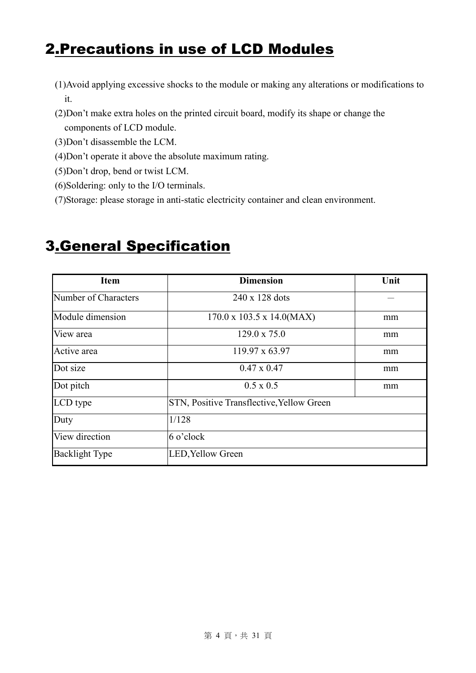## 2.Precautions in use of LCD Modules

- (1)Avoid applying excessive shocks to the module or making any alterations or modifications to it.
- (2)Don't make extra holes on the printed circuit board, modify its shape or change the components of LCD module.
- (3)Don't disassemble the LCM.
- (4)Don't operate it above the absolute maximum rating.
- (5)Don't drop, bend or twist LCM.
- (6)Soldering: only to the I/O terminals.
- (7)Storage: please storage in anti-static electricity container and clean environment.

# 3.General Specification

| <b>Item</b>                                               | <b>Dimension</b>                          | Unit |
|-----------------------------------------------------------|-------------------------------------------|------|
| Number of Characters                                      | 240 x 128 dots                            |      |
| Module dimension<br>$170.0 \times 103.5 \times 14.0(MAX)$ |                                           | mm   |
| View area                                                 | $129.0 \times 75.0$                       |      |
| Active area                                               | $119.97 \times 63.97$                     | mm   |
| Dot size                                                  | $0.47 \times 0.47$                        | mm   |
| Dot pitch                                                 | $0.5 \times 0.5$                          | mm   |
| LCD type                                                  | STN, Positive Transflective, Yellow Green |      |
| Duty                                                      | 1/128                                     |      |
| View direction                                            | 6 o'clock                                 |      |
| <b>Backlight Type</b>                                     | LED, Yellow Green                         |      |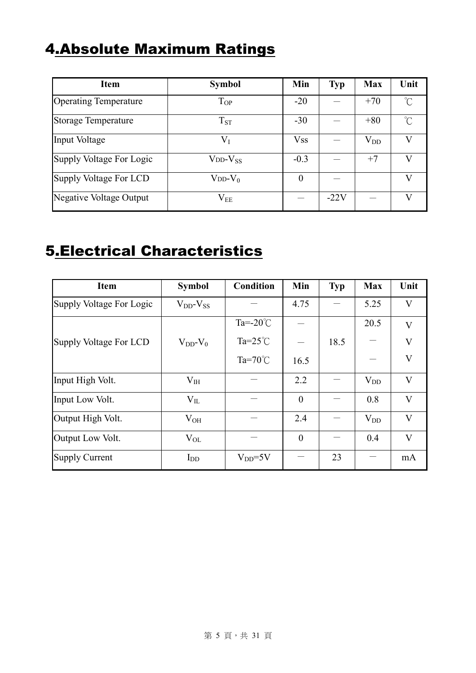## 4.Absolute Maximum Ratings

| <b>Item</b>                    | <b>Symbol</b>       | Min        | <b>Typ</b> | <b>Max</b>   | Unit         |
|--------------------------------|---------------------|------------|------------|--------------|--------------|
| <b>Operating Temperature</b>   | $T_{OP}$            | $-20$      |            | $+70$        | $^{\circ}$ C |
| <b>Storage Temperature</b>     | $T_{ST}$            | $-30$      |            | $+80$        | $^{\circ}$ C |
| Input Voltage                  | $V_I$               | <b>Vss</b> |            | $\rm V_{DD}$ |              |
| Supply Voltage For Logic       | $V_{DD}$ - $V_{SS}$ | $-0.3$     |            | $+7$         |              |
| Supply Voltage For LCD         | $V_{DD}$ - $V_0$    | $\theta$   |            |              | V            |
| <b>Negative Voltage Output</b> | $\rm V_{EE}$        |            | $-22V$     |              |              |

## 5.Electrical Characteristics

| <b>Item</b>              | <b>Symbol</b>       | <b>Condition</b>    | Min            | Typ  | <b>Max</b> | Unit                    |
|--------------------------|---------------------|---------------------|----------------|------|------------|-------------------------|
| Supply Voltage For Logic | $V_{DD}$ - $V_{SS}$ |                     | 4.75           |      | 5.25       | $\mathbf{V}$            |
|                          |                     | Ta= $-20^{\circ}$ C |                |      | 20.5       | $\mathbf{V}$            |
| Supply Voltage For LCD   | $V_{DD}$ - $V_0$    | Ta= $25^{\circ}$ C  |                | 18.5 |            | $\overline{\mathsf{V}}$ |
|                          |                     | Ta= $70^{\circ}$ C  | 16.5           |      |            | V                       |
| Input High Volt.         | $V_{IH}$            |                     | 2.2            |      | $V_{DD}$   | V                       |
| Input Low Volt.          | $V_{IL}$            |                     | $\overline{0}$ |      | 0.8        | $\overline{\mathbf{V}}$ |
| Output High Volt.        | $V_{OH}$            |                     | 2.4            |      | $V_{DD}$   | $\mathbf{V}$            |
| Output Low Volt.         | $V_{OL}$            |                     | $\theta$       |      | 0.4        | $\overline{\mathsf{V}}$ |
| <b>Supply Current</b>    | $I_{DD}$            | $V_{DD} = 5V$       |                | 23   |            | mA                      |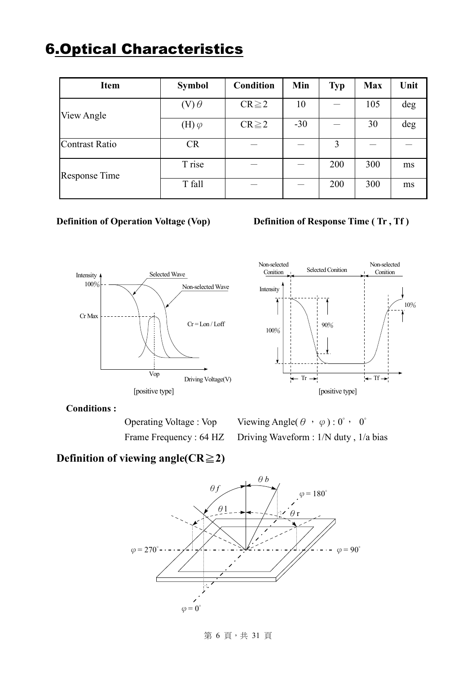## 6.Optical Characteristics

| <b>Item</b>           | <b>Symbol</b>  | <b>Condition</b> | Min   | <b>Typ</b> | <b>Max</b> | Unit |
|-----------------------|----------------|------------------|-------|------------|------------|------|
| View Angle            | $(V)$ $\theta$ | $CR \geq 2$      | 10    |            | 105        | deg  |
|                       | (H) $\varphi$  | $CR \geq 2$      | $-30$ |            | 30         | deg  |
| <b>Contrast Ratio</b> | <b>CR</b>      |                  |       | 3          |            |      |
| <b>Response Time</b>  | T rise         |                  |       | 200        | 300        | ms   |
|                       | T fall         |                  |       | 200        | 300        | ms   |

#### **Definition of Operation Voltage (Vop) Definition of Response Time (Tr, Tf)**





#### **Conditions :**

Operating Voltage : Vop Viewing Angle( $\theta$ ,  $\varphi$ ) : 0°, 0° Frame Frequency : 64 HZ Driving Waveform : 1/N duty, 1/a bias

### **Definition of viewing angle(CR**≧**2)**



#### 第 6 頁, 共 31 頁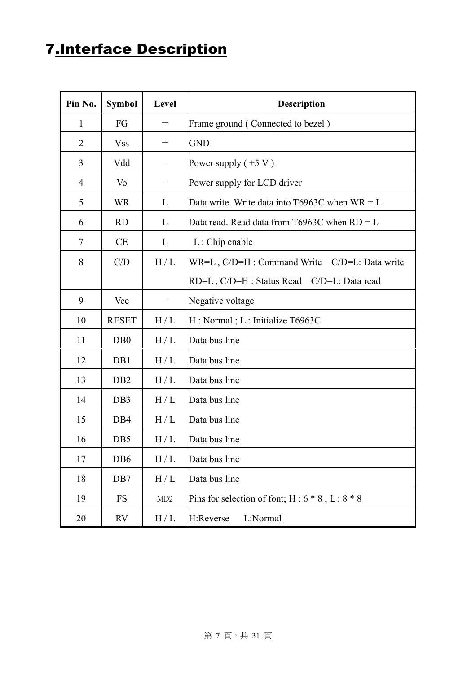## 7.Interface Description

| Pin No.        | <b>Symbol</b>    | Level             | <b>Description</b>                                  |  |  |
|----------------|------------------|-------------------|-----------------------------------------------------|--|--|
| $\mathbf{1}$   | FG               |                   | Frame ground (Connected to bezel)                   |  |  |
| $\overline{2}$ | <b>Vss</b>       |                   | <b>GND</b>                                          |  |  |
| 3              | Vdd              |                   | Power supply $(+5 V)$                               |  |  |
| 4              | Vo               |                   | Power supply for LCD driver                         |  |  |
| 5              | <b>WR</b>        | L                 | Data write. Write data into T6963C when $WR = L$    |  |  |
| 6              | <b>RD</b>        | L                 | Data read. Read data from T6963C when $RD = L$      |  |  |
| $\tau$         | <b>CE</b>        | L                 | $L:$ Chip enable                                    |  |  |
| 8              | C/D              | H/L               | WR=L, C/D=H : Command Write C/D=L: Data write       |  |  |
|                |                  |                   | RD=L, C/D=H : Status Read C/D=L: Data read          |  |  |
| 9              | Vee              |                   | Negative voltage                                    |  |  |
| 10             | <b>RESET</b>     | H/L               | H: Normal; L: Initialize T6963C                     |  |  |
| 11             | D <sub>B</sub> 0 | H/L               | Data bus line                                       |  |  |
| 12             | DB1              | H/L               | Data bus line                                       |  |  |
| 13             | D <sub>B2</sub>  | H/L               | Data bus line                                       |  |  |
| 14             | DB <sub>3</sub>  | H/L               | Data bus line                                       |  |  |
| 15             | DB4              | H/L               | Data bus line                                       |  |  |
| 16             | DB5              | H/L               | Data bus line                                       |  |  |
| 17             | DB <sub>6</sub>  | $\rm H$ / $\rm L$ | Data bus line                                       |  |  |
| 18             | D <sub>B</sub> 7 | H/L               | Data bus line                                       |  |  |
| 19             | <b>FS</b>        | MD2               | Pins for selection of font; $H: 6 * 8$ , $L: 8 * 8$ |  |  |
| 20             | <b>RV</b>        | H/L               | H:Reverse<br>L:Normal                               |  |  |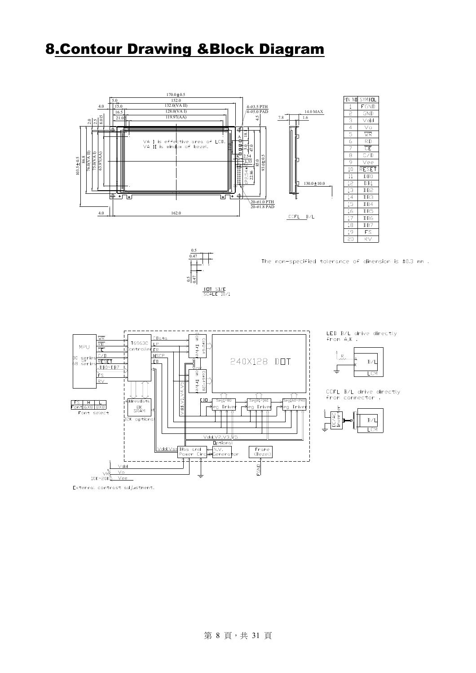## 8.Contour Drawing &Block Diagram





The non-specified tolerance of dimension is ±0.3 mm.







CCFL B/L drive directly<br>from connector .



External contrast adjustment.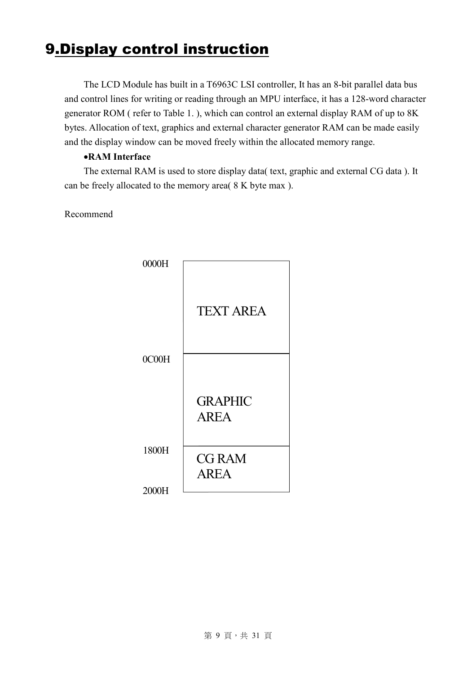## 9.Display control instruction

The LCD Module has built in a T6963C LSI controller, It has an 8-bit parallel data bus and control lines for writing or reading through an MPU interface, it has a 128-word character generator ROM ( refer to Table 1. ), which can control an external display RAM of up to 8K bytes. Allocation of text, graphics and external character generator RAM can be made easily and the display window can be moved freely within the allocated memory range.

#### •**RAM Interface**

The external RAM is used to store display data( text, graphic and external CG data ). It can be freely allocated to the memory area( 8 K byte max ).

Recommend

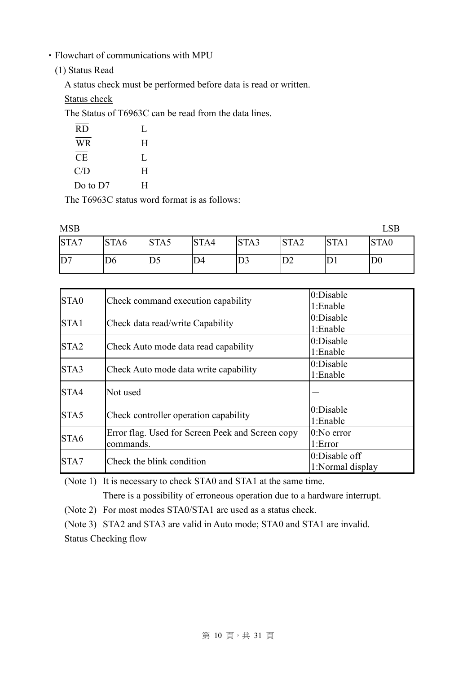- ‧Flowchart of communications with MPU
	- (1) Status Read

A status check must be performed before data is read or written.

Status check

The Status of T6963C can be read from the data lines.

| <b>RD</b> | L |
|-----------|---|
| <b>WR</b> | H |
| <b>CE</b> | L |
| C/D       | H |
| Do to D7  | H |

The T6963C status word format is as follows:

| <b>MSB</b> |      |                |      |                |                  |      |                |
|------------|------|----------------|------|----------------|------------------|------|----------------|
| STA7       | STA6 | STA5           | STA4 | STA3           | STA <sub>2</sub> | STA1 | STA0           |
| D7         | ID6  | D <sub>5</sub> | D4   | D <sub>3</sub> | D2               | עו.  | D <sub>0</sub> |

| STA0             |                                                  | 0:Disable        |
|------------------|--------------------------------------------------|------------------|
|                  | Check command execution capability               | 1:Enable         |
| STA1             |                                                  | $0$ :Disable     |
|                  | Check data read/write Capability                 | 1:Enable         |
| STA <sub>2</sub> |                                                  | 0:Disable        |
|                  | Check Auto mode data read capability             | 1:Enable         |
|                  |                                                  | 0:Disable        |
| STA3             | Check Auto mode data write capability            | 1:Enable         |
| STA4             | Not used                                         |                  |
|                  |                                                  | 0:Disable        |
| STA5             | Check controller operation capability            | 1:Enable         |
|                  | Error flag. Used for Screen Peek and Screen copy | $0:N0$ error     |
| STA <sub>6</sub> | commands.                                        | 1:Error          |
|                  | Check the blink condition                        | $0$ :Disable off |
| STA7             |                                                  | 1:Normal display |

(Note 1) It is necessary to check STA0 and STA1 at the same time.

There is a possibility of erroneous operation due to a hardware interrupt.

(Note 2) For most modes STA0/STA1 are used as a status check.

(Note 3) STA2 and STA3 are valid in Auto mode; STA0 and STA1 are invalid.

Status Checking flow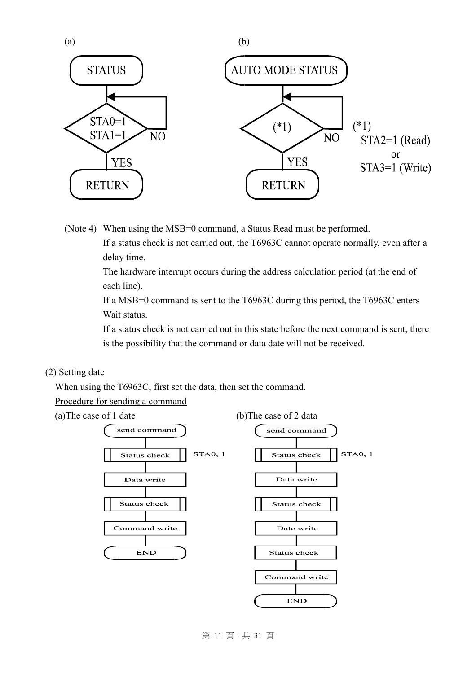

(Note 4) When using the MSB=0 command, a Status Read must be performed. If a status check is not carried out, the T6963C cannot operate normally, even after a delay time.

> The hardware interrupt occurs during the address calculation period (at the end of each line).

> If a MSB=0 command is sent to the T6963C during this period, the T6963C enters Wait status.

If a status check is not carried out in this state before the next command is sent, there is the possibility that the command or data date will not be received.

#### (2) Setting date

When using the T6963C, first set the data, then set the command.

Procedure for sending a command





#### 第 11 頁,共 31 頁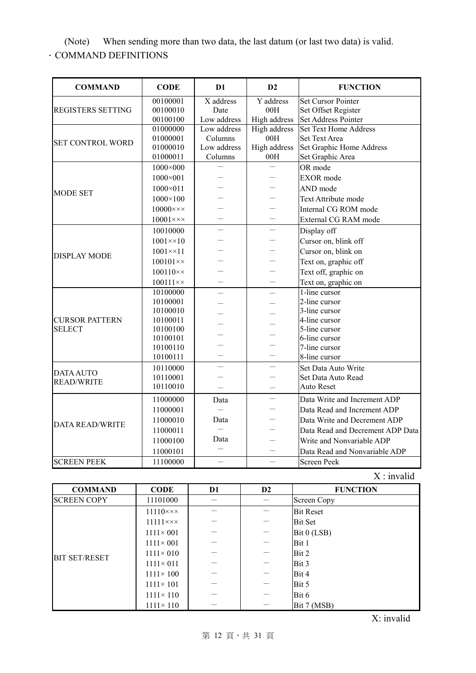(Note) When sending more than two data, the last datum (or last two data) is valid.

.COMMAND DEFINITIONS

| <b>COMMAND</b>           | <b>CODE</b>             | D <sub>1</sub> | D2                  | <b>FUNCTION</b>                  |
|--------------------------|-------------------------|----------------|---------------------|----------------------------------|
|                          | 00100001                | X address      | Y address           | <b>Set Cursor Pointer</b>        |
| <b>REGISTERS SETTING</b> | 00100010                | Date           | 00H                 | Set Offset Register              |
|                          | 00100100                | Low address    | High address        | Set Address Pointer              |
|                          | 01000000                | Low address    | <b>High address</b> | <b>Set Text Home Address</b>     |
| <b>SET CONTROL WORD</b>  | 01000001                | Columns        | 00H                 | <b>Set Text Area</b>             |
|                          | 01000010                | Low address    | High address        | Set Graphic Home Address         |
|                          | 01000011                | Columns        | 00H                 | Set Graphic Area                 |
|                          | $1000 \times 000$       |                |                     | OR mode                          |
|                          | 1000×001                |                |                     | <b>EXOR</b> mode                 |
| <b>MODE SET</b>          | $1000 \times 011$       |                |                     | AND mode                         |
|                          | $1000 \times 100$       |                |                     | Text Attribute mode              |
|                          | $10000 \times x \times$ |                |                     | Internal CG ROM mode             |
|                          | $10001 \times x \times$ |                |                     | External CG RAM mode             |
|                          | 10010000                |                |                     | Display off                      |
| <b>DISPLAY MODE</b>      | $1001 \times 10$        |                |                     | Cursor on, blink off             |
|                          | $1001 \times 11$        |                |                     | Cursor on, blink on              |
|                          | $100101 \times x$       |                |                     | Text on, graphic off             |
|                          | $100110 \times x$       |                |                     | Text off, graphic on             |
|                          | $100111 \times x$       |                |                     | Text on, graphic on              |
|                          | 10100000                |                |                     | 1-line cursor                    |
|                          | 10100001                |                |                     | 2-line cursor                    |
|                          | 10100010                |                |                     | 3-line cursor                    |
| <b>CURSOR PATTERN</b>    | 10100011                |                |                     | 4-line cursor                    |
| <b>SELECT</b>            | 10100100                |                |                     | 5-line cursor                    |
|                          | 10100101                |                |                     | 6-line cursor                    |
|                          | 10100110                |                |                     | 7-line cursor                    |
|                          | 10100111                |                |                     | 8-line cursor                    |
| <b>DATA AUTO</b>         | 10110000                |                |                     | Set Data Auto Write              |
| <b>READ/WRITE</b>        | 10110001                |                |                     | Set Data Auto Read               |
|                          | 10110010                |                |                     | Auto Reset                       |
|                          | 11000000                | Data           |                     | Data Write and Increment ADP     |
|                          | 11000001                |                |                     | Data Read and Increment ADP      |
|                          | 11000010                | Data           |                     | Data Write and Decrement ADP     |
| <b>DATA READ/WRITE</b>   | 11000011                |                |                     | Data Read and Decrement ADP Data |
|                          | 11000100                | Data           |                     | Write and Nonvariable ADP        |
|                          | 11000101                |                |                     | Data Read and Nonvariable ADP    |
| <b>SCREEN PEEK</b>       | 11100000                |                |                     | <b>Screen Peek</b>               |

 $X : invalid$ 

| <b>COMMAND</b>       | <b>CODE</b>                  | D <sub>1</sub> | $\mathbf{D2}$ | <b>FUNCTION</b>    |
|----------------------|------------------------------|----------------|---------------|--------------------|
| <b>SCREEN COPY</b>   | 11101000                     |                |               | <b>Screen Copy</b> |
|                      | $11110 \times \times \times$ |                |               | <b>Bit Reset</b>   |
|                      | $11111 \times x \times$      |                |               | <b>Bit Set</b>     |
| <b>BIT SET/RESET</b> | $1111 \times 001$            |                |               | Bit 0 (LSB)        |
|                      | $1111 \times 001$            |                |               | Bit 1              |
|                      | $1111 \times 010$            |                |               | Bit 2              |
|                      | $1111 \times 011$            |                |               | Bit 3              |
|                      | $1111 \times 100$            |                |               | Bit 4              |
|                      | $1111 \times 101$            |                |               | Bit 5              |
|                      | $1111 \times 110$            |                |               | Bit 6              |
|                      | $1111 \times 110$            |                |               | Bit 7 (MSB)        |

X: invalid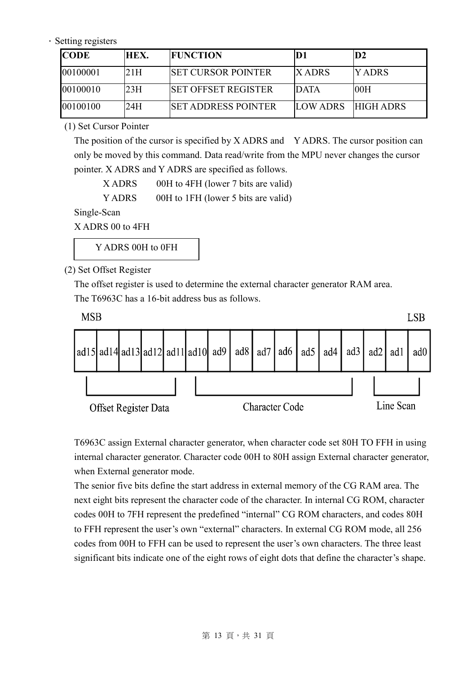#### · Setting registers

| <b>CODE</b> | HEX. | <b>FUNCTION</b>            |                    | D2     |
|-------------|------|----------------------------|--------------------|--------|
| 00100001    | 21H  | ISET CURSOR POINTER        | <b>IX ADRS</b>     | Y ADRS |
| 00100010    | 23H  | ISET OFFSET REGISTER       | <b>DATA</b>        | -00H   |
| 00100100    | 24H  | <b>SET ADDRESS POINTER</b> | LOW ADRS HIGH ADRS |        |

(1) Set Cursor Pointer

The position of the cursor is specified by X ADRS and Y ADRS. The cursor position can only be moved by this command. Data read/write from the MPU never changes the cursor pointer. X ADRS and Y ADRS are specified as follows.

X ADRS 00H to 4FH (lower 7 bits are valid)

Y ADRS 00H to 1FH (lower 5 bits are valid)

Single-Scan

X ADRS 00 to 4FH

Y ADRS 00H to 0FH

(2) Set Offset Register

The offset register is used to determine the external character generator RAM area. The T6963C has a 16-bit address bus as follows.



T6963C assign External character generator, when character code set 80H TO FFH in using internal character generator. Character code 00H to 80H assign External character generator, when External generator mode.

The senior five bits define the start address in external memory of the CG RAM area. The next eight bits represent the character code of the character. In internal CG ROM, character codes 00H to 7FH represent the predefined "internal" CG ROM characters, and codes 80H to FFH represent the user's own "external" characters. In external CG ROM mode, all 256 codes from 00H to FFH can be used to represent the user's own characters. The three least significant bits indicate one of the eight rows of eight dots that define the character's shape.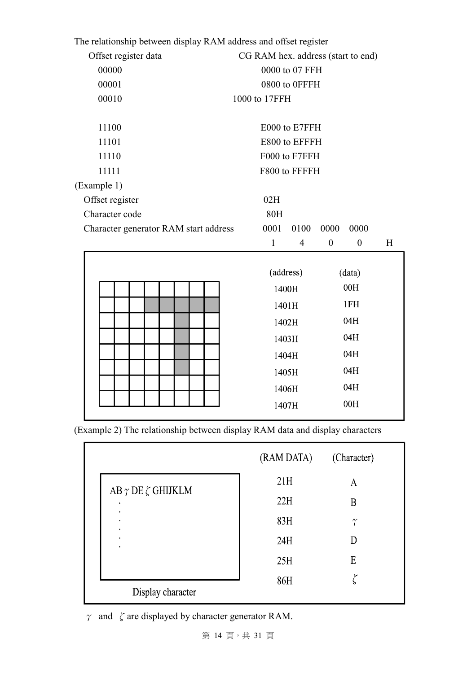| <u>The relationship between display RAM address and offset register</u> |                                    |                |  |  |               |                |                  |                  |   |
|-------------------------------------------------------------------------|------------------------------------|----------------|--|--|---------------|----------------|------------------|------------------|---|
| Offset register data                                                    | CG RAM hex. address (start to end) |                |  |  |               |                |                  |                  |   |
| 00000                                                                   |                                    | 0000 to 07 FFH |  |  |               |                |                  |                  |   |
| 00001                                                                   |                                    |                |  |  |               | 0800 to 0FFFH  |                  |                  |   |
| 00010                                                                   |                                    |                |  |  | 1000 to 17FFH |                |                  |                  |   |
| 11100                                                                   |                                    |                |  |  | E000 to E7FFH |                |                  |                  |   |
| 11101                                                                   |                                    |                |  |  | E800 to EFFFH |                |                  |                  |   |
| 11110                                                                   |                                    |                |  |  | F000 to F7FFH |                |                  |                  |   |
| 11111                                                                   |                                    |                |  |  | F800 to FFFFH |                |                  |                  |   |
| (Example 1)                                                             |                                    |                |  |  |               |                |                  |                  |   |
| Offset register                                                         |                                    |                |  |  | 02H           |                |                  |                  |   |
| Character code                                                          |                                    |                |  |  | <b>80H</b>    |                |                  |                  |   |
| Character generator RAM start address                                   |                                    |                |  |  | 0001          | 0100           | 0000             | 0000             |   |
|                                                                         |                                    |                |  |  | $\mathbf{1}$  | $\overline{4}$ | $\boldsymbol{0}$ | $\boldsymbol{0}$ | H |
|                                                                         |                                    |                |  |  |               |                |                  |                  |   |
|                                                                         |                                    |                |  |  | (address)     |                |                  | (data)           |   |
|                                                                         |                                    |                |  |  | 1400H         |                |                  | 00H              |   |
|                                                                         |                                    |                |  |  |               | 1401H          |                  | 1FH              |   |
|                                                                         |                                    |                |  |  |               |                |                  |                  |   |
|                                                                         |                                    |                |  |  | 1402H         |                |                  | 04H              |   |
|                                                                         |                                    |                |  |  | 1403H         |                |                  | 04H              |   |
|                                                                         |                                    |                |  |  | 1404H         |                |                  | 04H              |   |
|                                                                         |                                    |                |  |  | 1405H         |                |                  | 04H              |   |
|                                                                         |                                    |                |  |  | 1406H         |                |                  | 04H              |   |

The relationship between display RAM address and offset register

(Example 2) The relationship between display RAM data and display characters

|                                     | (RAM DATA) | (Character) |
|-------------------------------------|------------|-------------|
|                                     | 21H        | А           |
| AB $\gamma$ DE $\zeta$ GHIJKLM<br>٠ | 22H        | B           |
| ٠<br>٠<br>٠                         | 83H        | $\gamma$    |
| ٠<br>٠                              | 24H        |             |
|                                     | 25H        | E           |
| Display character                   | 86H        | م           |

 $\gamma$  and  $\zeta$  are displayed by character generator RAM.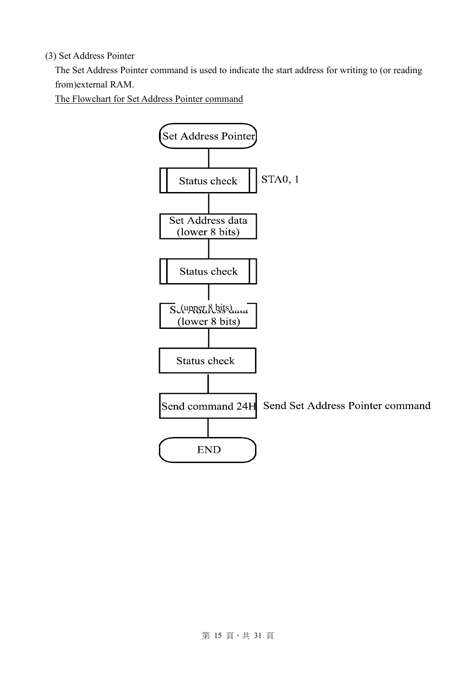#### (3) Set Address Pointer

The Set Address Pointer command is used to indicate the start address for writing to (or reading from)external RAM.

The Flowchart for Set Address Pointer command

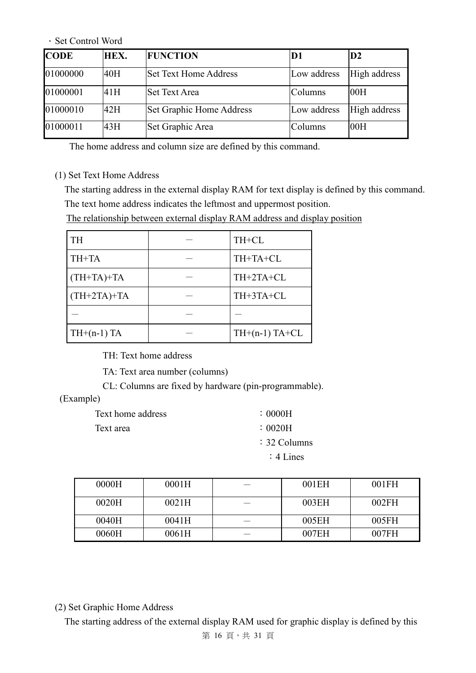#### .Set Control Word

| <b>CODE</b> | HEX. | <b>FUNCTION</b>              | D1          | D2           |
|-------------|------|------------------------------|-------------|--------------|
| 01000000    | 40H  | <b>Set Text Home Address</b> | Low address | High address |
| 01000001    | 41H  | <b>Set Text Area</b>         | Columns     | 00H          |
| 01000010    | 42H  | Set Graphic Home Address     | Low address | High address |
| 01000011    | 43H  | Set Graphic Area             | Columns     | 00H          |

The home address and column size are defined by this command.

#### (1) Set Text Home Address

The starting address in the external display RAM for text display is defined by this command. The text home address indicates the leftmost and uppermost position.

The relationship between external display RAM address and display position

| <b>TH</b>     | TH+CL           |
|---------------|-----------------|
| TH+TA         | TH+TA+CL        |
| $(TH+TA)+TA$  | TH+2TA+CL       |
| $(TH+2TA)+TA$ | TH+3TA+CL       |
|               |                 |
| $TH+(n-1)$ TA | $TH+(n-1)TA+CL$ |

TH: Text home address

TA: Text area number (columns)

CL: Columns are fixed by hardware (pin-programmable).

#### (Example)

| Text home address | : 0000H                 |
|-------------------|-------------------------|
| Text area         | $\therefore$ 0020H      |
|                   | $\therefore$ 32 Columns |
|                   | $: 4$ Lines             |

| 0000H | 0001H | 001EH | 001FH |
|-------|-------|-------|-------|
| 0020H | 0021H | 003EH | 002FH |
| 0040H | 0041H | 005EH | 005FH |
| 0060H | 0061H | 007EH | 007FH |

(2) Set Graphic Home Address

The starting address of the external display RAM used for graphic display is defined by this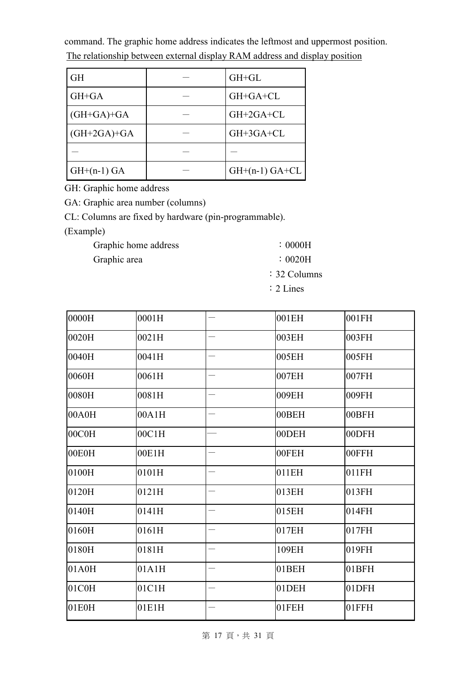command. The graphic home address indicates the leftmost and uppermost position. The relationship between external display RAM address and display position

| <b>GH</b>     | $GH+GL$          |
|---------------|------------------|
| GH+GA         | GH+GA+CL         |
| $(GH+GA)+GA$  | GH+2GA+CL        |
| $(GH+2GA)+GA$ | GH+3GA+CL        |
|               |                  |
| $GH+(n-1) GA$ | $GH+(n-1) GA+CL$ |

GH: Graphic home address

GA: Graphic area number (columns)

CL: Columns are fixed by hardware (pin-programmable).

(Example)

| Graphic home address | $\therefore$ 0000H             |
|----------------------|--------------------------------|
| Graphic area         | $\therefore$ 0020H             |
|                      | $\therefore$ 32 Columns        |
|                      | $\cdot$ $\sim$ $\cdot$ $\cdot$ |

:2 Lines

| 0000H | 0001H |                          | 001EH | 001FH |
|-------|-------|--------------------------|-------|-------|
| 0020H | 0021H | $\overline{\phantom{0}}$ | 003EH | 003FH |
| 0040H | 0041H |                          | 005EH | 005FH |
| 0060H | 0061H |                          | 007EH | 007FH |
| 0080H | 0081H |                          | 009EH | 009FH |
| 00A0H | 00A1H |                          | 00BEH | 00BFH |
| 00C0H | 00C1H |                          | 00DEH | 00DFH |
| 00E0H | 00E1H | $\overline{\phantom{0}}$ | 00FEH | 00FFH |
| 0100H | 0101H |                          | 011EH | 011FH |
| 0120H | 0121H |                          | 013EH | 013FH |
| 0140H | 0141H |                          | 015EH | 014FH |
| 0160H | 0161H |                          | 017EH | 017FH |
| 0180H | 0181H |                          | 109EH | 019FH |
| 01A0H | 01A1H |                          | 01BEH | 01BFH |
| 01C0H | 01C1H |                          | 01DEH | 01DFH |
| 01E0H | 01E1H |                          | 01FEH | 01FFH |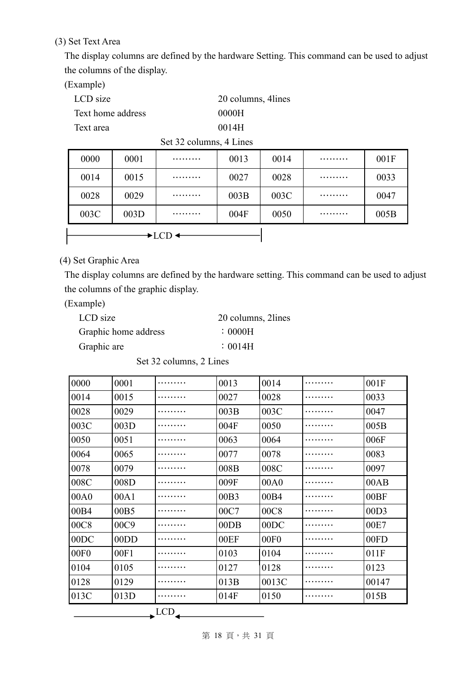(3) Set Text Area

The display columns are defined by the hardware Setting. This command can be used to adjust the columns of the display.

(Example)

| LCD size          | 20 columns, 4 lines |
|-------------------|---------------------|
| Text home address | 0000H               |
| Text area         | 0014H               |

Set 32 columns, 4 Lines

| 0000 | 0001 | . | 0013 | 0014 | . | 001F |
|------|------|---|------|------|---|------|
| 0014 | 0015 | . | 0027 | 0028 | . | 0033 |
| 0028 | 0029 |   | 003B | 003C | . | 0047 |
| 003C | 003D | . | 004F | 0050 | . | 005B |
|      |      |   |      |      |   |      |

(4) Set Graphic Area

The display columns are defined by the hardware setting. This command can be used to adjust the columns of the graphic display.

(Example)

| LCD size             | 20 columns, 2lines |
|----------------------|--------------------|
| Graphic home address | $\therefore$ 0000H |
| Graphic are          | $\div 0014H$       |

Set 32 columns, 2 Lines

| 0000 | 0001 |             | 0013 | 0014             | 001F  |
|------|------|-------------|------|------------------|-------|
| 0014 | 0015 |             | 0027 | 0028             | 0033  |
| 0028 | 0029 |             | 003B | 003C             | 0047  |
| 003C | 003D |             | 004F | 0050             | 005B  |
| 0050 | 0051 |             | 0063 | 0064             | 006F  |
| 0064 | 0065 |             | 0077 | 0078             | 0083  |
| 0078 | 0079 |             | 008B | 008C             | 0097  |
| 008C | 008D |             | 009F | 00A0             | 00AB  |
| 00A0 | 00A1 |             | 00B3 | 00B4             | 00BF  |
| 00B4 | 00B5 |             | 00C7 | 00C <sub>8</sub> | 00D3  |
| 00C8 | 00C9 |             | 00DB | 00DC             | 00E7  |
| 00DC | 00DD |             | 00EF | 00F <sub>0</sub> | 00FD  |
| 00F0 | 00F1 |             | 0103 | 0104             | 011F  |
| 0104 | 0105 |             | 0127 | 0128             | 0123  |
| 0128 | 0129 |             | 013B | 0013C            | 00147 |
| 013C | 013D |             | 014F | 0150             | 015B  |
|      |      | $\triangle$ |      |                  |       |
|      |      | ◢           |      |                  |       |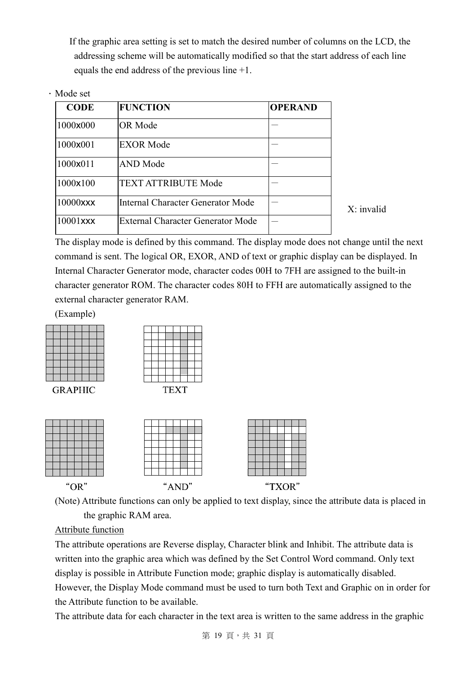If the graphic area setting is set to match the desired number of columns on the LCD, the addressing scheme will be automatically modified so that the start address of each line equals the end address of the previous line +1.

#### .Mode set

| <b>CODE</b> | <b>FUNCTION</b>                   | <b>OPERAND</b> |
|-------------|-----------------------------------|----------------|
| 1000x000    | OR Mode                           |                |
| 1000x001    | <b>EXOR Mode</b>                  |                |
| 1000x011    | <b>AND Mode</b>                   |                |
| 1000×100    | <b>TEXT ATTRIBUTE Mode</b>        |                |
| 10000xxx    | Internal Character Generator Mode |                |
| 10001xxx    | External Character Generator Mode |                |

X: invalid

The display mode is defined by this command. The display mode does not change until the next command is sent. The logical OR, EXOR, AND of text or graphic display can be displayed. In Internal Character Generator mode, character codes 00H to 7FH are assigned to the built-in character generator ROM. The character codes 80H to FFH are automatically assigned to the external character generator RAM.

(Example)





(Note) Attribute functions can only be applied to text display, since the attribute data is placed in the graphic RAM area.

#### Attribute function

The attribute operations are Reverse display, Character blink and Inhibit. The attribute data is written into the graphic area which was defined by the Set Control Word command. Only text display is possible in Attribute Function mode; graphic display is automatically disabled. However, the Display Mode command must be used to turn both Text and Graphic on in order for the Attribute function to be available.

The attribute data for each character in the text area is written to the same address in the graphic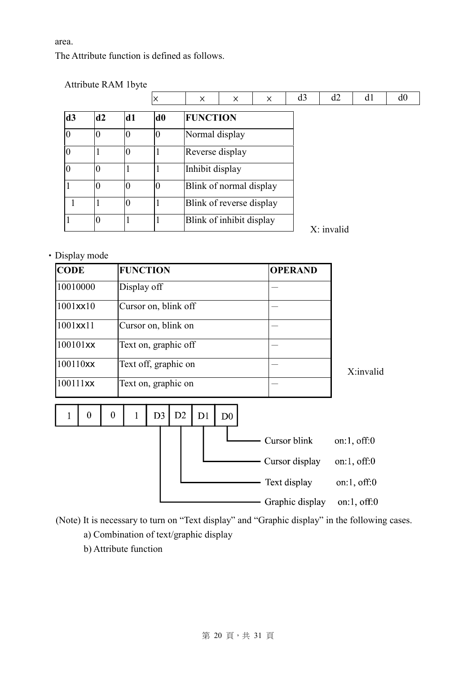area.

The Attribute function is defined as follows.

|                  | Attribute RAM 1byte |    |                |                 |                          |          |                |            |    |    |
|------------------|---------------------|----|----------------|-----------------|--------------------------|----------|----------------|------------|----|----|
|                  |                     |    |                | X               | $\times$                 | $\times$ | d <sub>3</sub> | d2         | d1 | d0 |
| d3               | d2                  | d1 | d <sub>0</sub> | <b>FUNCTION</b> |                          |          |                |            |    |    |
| $\boldsymbol{0}$ |                     | 0  | $\overline{0}$ | Normal display  |                          |          |                |            |    |    |
| $\overline{0}$   |                     | 0  |                | Reverse display |                          |          |                |            |    |    |
| $\overline{0}$   |                     |    |                | Inhibit display |                          |          |                |            |    |    |
|                  |                     | 0  | $\overline{0}$ |                 | Blink of normal display  |          |                |            |    |    |
| 1                |                     | 0  |                |                 | Blink of reverse display |          |                |            |    |    |
|                  |                     |    |                |                 | Blink of inhibit display |          |                | X: invalid |    |    |

‧Display mode

| <b>CODE</b> | <b>FUNCTION</b>      | <b>OPERAND</b> |           |
|-------------|----------------------|----------------|-----------|
| 10010000    | Display off          |                |           |
| 1001xx10    | Cursor on, blink off |                |           |
| 1001xx11    | Cursor on, blink on  |                |           |
| 100101xx    | Text on, graphic off |                |           |
| 100110xx    | Text off, graphic on |                | X:invalid |
| 100111xx    | Text on, graphic on  |                |           |

 $\boldsymbol{0}$  $\boldsymbol{0}$  $\mathbf{1}$  $D3$ D<sub>2</sub>  $D1$  $\mathbf{1}$  $D<sub>0</sub>$ - Cursor blink on:1, off:0 - Cursor display on:1, off:0 Text display on:1, off:0 on:1, off:0 - Graphic display

(Note) It is necessary to turn on "Text display" and "Graphic display" in the following cases.

- a) Combination of text/graphic display
- b) Attribute function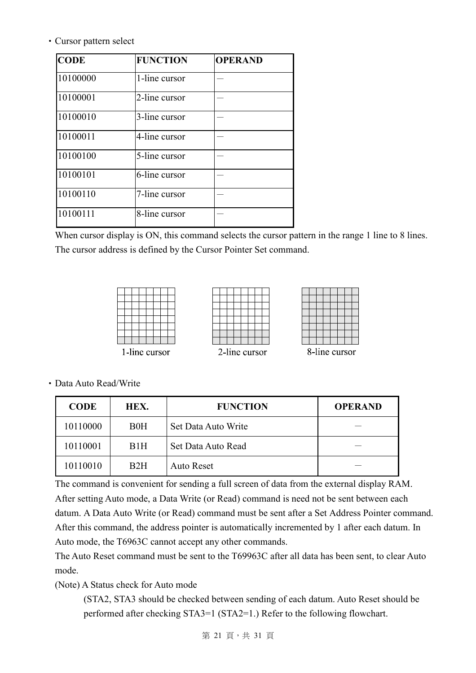‧Cursor pattern select

| <b>CODE</b> | <b>FUNCTION</b> | <b>OPERAND</b> |
|-------------|-----------------|----------------|
| 10100000    | 1-line cursor   |                |
| 10100001    | 2-line cursor   |                |
| 10100010    | 3-line cursor   |                |
| 10100011    | 4-line cursor   |                |
| 10100100    | 5-line cursor   |                |
| 10100101    | 6-line cursor   |                |
| 10100110    | 7-line cursor   |                |
| 10100111    | 8-line cursor   |                |

When cursor display is ON, this command selects the cursor pattern in the range 1 line to 8 lines. The cursor address is defined by the Cursor Pointer Set command.





8-line cursor

| 2-line cursor |
|---------------|
|---------------|

‧Data Auto Read/Write

| <b>CODE</b> | HEX.       | <b>FUNCTION</b>     | <b>OPERAND</b> |
|-------------|------------|---------------------|----------------|
| 10110000    | <b>B0H</b> | Set Data Auto Write |                |
| 10110001    | B1H        | Set Data Auto Read  |                |
| 10110010    | B2H        | Auto Reset          |                |

The command is convenient for sending a full screen of data from the external display RAM. After setting Auto mode, a Data Write (or Read) command is need not be sent between each datum. A Data Auto Write (or Read) command must be sent after a Set Address Pointer command. After this command, the address pointer is automatically incremented by 1 after each datum. In Auto mode, the T6963C cannot accept any other commands.

The Auto Reset command must be sent to the T69963C after all data has been sent, to clear Auto mode.

(Note) A Status check for Auto mode

(STA2, STA3 should be checked between sending of each datum. Auto Reset should be performed after checking STA3=1 (STA2=1.) Refer to the following flowchart.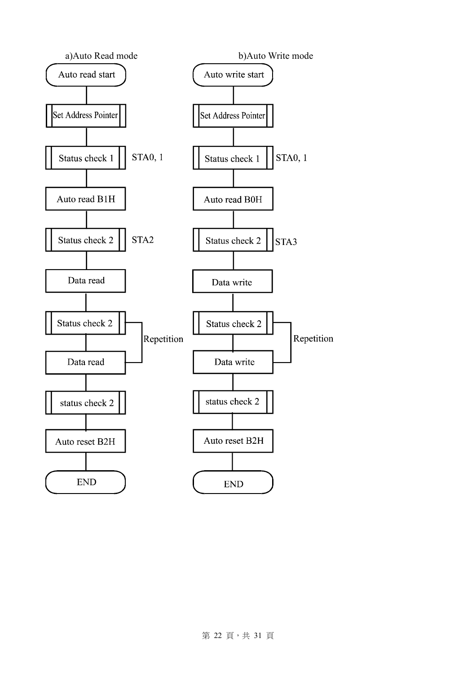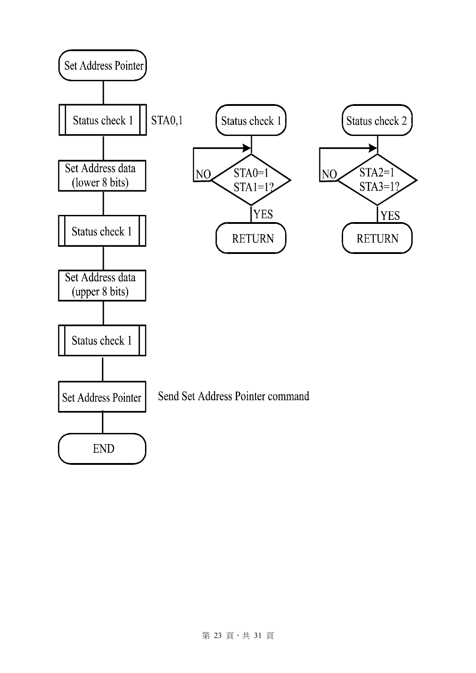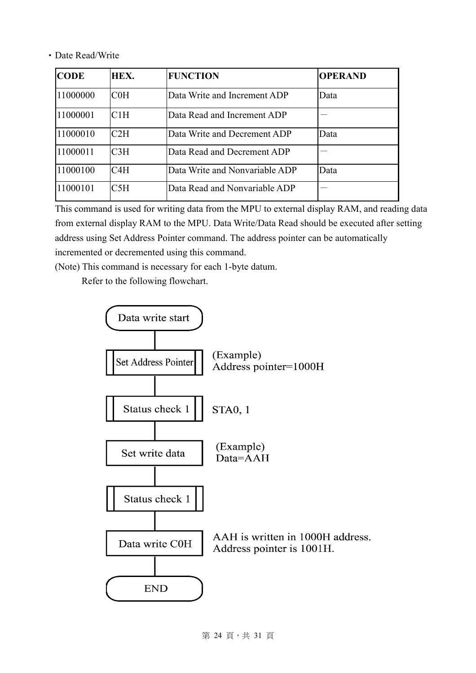‧Date Read/Write

| <b>CODE</b> | HEX.      | <b>FUNCTION</b>                | <b>OPERAND</b> |
|-------------|-----------|--------------------------------|----------------|
| 11000000    | $\rm COH$ | Data Write and Increment ADP   | Data           |
| 11000001    | C1H       | Data Read and Increment ADP    |                |
| 11000010    | C2H       | Data Write and Decrement ADP   | Data           |
| 11000011    | C3H       | Data Read and Decrement ADP    |                |
| 11000100    | C4H       | Data Write and Nonvariable ADP | Data           |
| 11000101    | C5H       | Data Read and Nonvariable ADP  |                |

This command is used for writing data from the MPU to external display RAM, and reading data from external display RAM to the MPU. Data Write/Data Read should be executed after setting address using Set Address Pointer command. The address pointer can be automatically incremented or decremented using this command.

(Note) This command is necessary for each 1-byte datum.

Refer to the following flowchart.

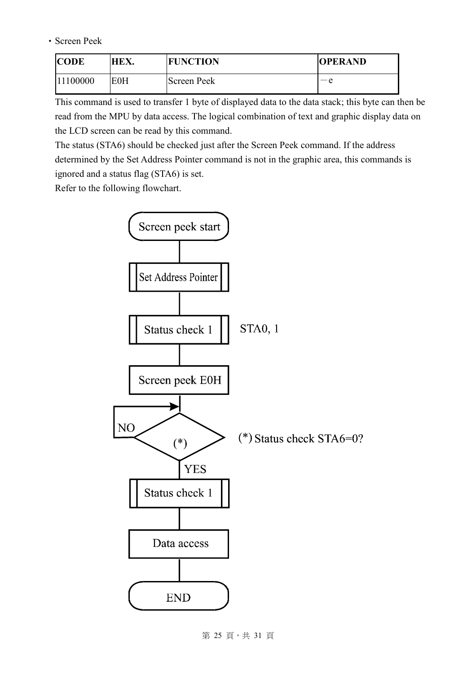‧Screen Peek

| <b>CODE</b> | HEX. | <b>FUNCTION</b> | <b>OPERAND</b> |
|-------------|------|-----------------|----------------|
| 11100000    | EOH  | Screen Peek     | — е            |

This command is used to transfer 1 byte of displayed data to the data stack; this byte can then be read from the MPU by data access. The logical combination of text and graphic display data on the LCD screen can be read by this command.

The status (STA6) should be checked just after the Screen Peek command. If the address determined by the Set Address Pointer command is not in the graphic area, this commands is ignored and a status flag (STA6) is set.

Refer to the following flowchart.



第 25 頁, 共 31 頁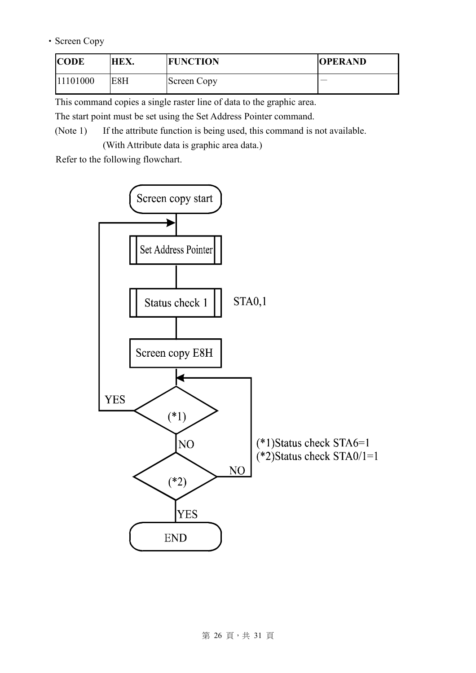#### ‧Screen Copy

| <b>CODE</b> | HEX. | <b>FUNCTION</b> | <b>OPERAND</b> |
|-------------|------|-----------------|----------------|
| 11101000    | E8H  | Screen Copy     |                |

This command copies a single raster line of data to the graphic area.

The start point must be set using the Set Address Pointer command.

(Note 1) If the attribute function is being used, this command is not available. (With Attribute data is graphic area data.)

Refer to the following flowchart.

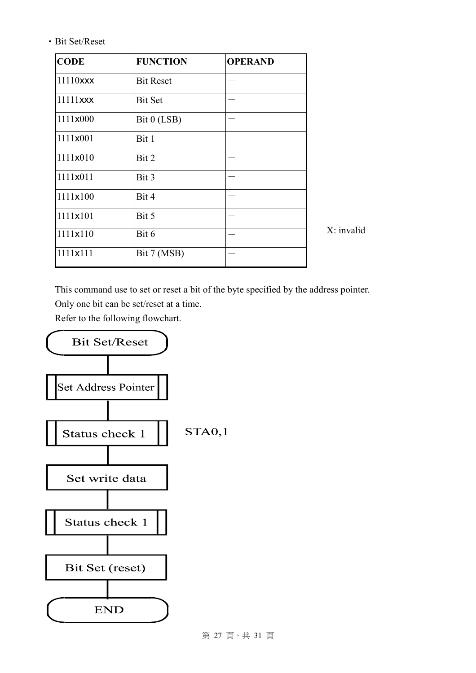‧Bit Set/Reset

| <b>CODE</b> | <b>FUNCTION</b>  | <b>OPERAND</b> |              |
|-------------|------------------|----------------|--------------|
| 11110xxx    | <b>Bit Reset</b> |                |              |
| 11111xxx    | <b>Bit Set</b>   |                |              |
| 1111x000    | Bit 0 (LSB)      |                |              |
| 1111x001    | Bit 1            |                |              |
| 1111x010    | Bit 2            |                |              |
| 1111x011    | Bit 3            |                |              |
| 1111×100    | Bit 4            |                |              |
| 1111x101    | Bit 5            |                |              |
| 1111x110    | Bit 6            |                | $X:$ invalid |
| 1111x111    | Bit 7 (MSB)      |                |              |
|             |                  |                |              |

This command use to set or reset a bit of the byte specified by the address pointer. Only one bit can be set/reset at a time.

Refer to the following flowchart.



第 27 頁, 共 31 頁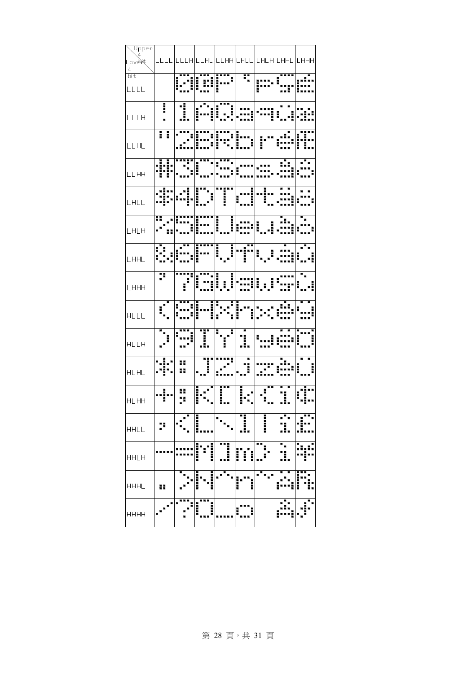| Lower<br>Lower         |   |                                                                                                                                                                                                                                      |   |        |    |                                                 |
|------------------------|---|--------------------------------------------------------------------------------------------------------------------------------------------------------------------------------------------------------------------------------------|---|--------|----|-------------------------------------------------|
|                        |   |                                                                                                                                                                                                                                      |   |        |    | <u>ссес ссен сене сенн снес снен снне сннн </u> |
| $\frac{1}{\text{bit}}$ |   |                                                                                                                                                                                                                                      |   |        |    |                                                 |
| LLLL                   |   |                                                                                                                                                                                                                                      |   |        |    |                                                 |
| LLLH                   |   | ╶╶┋╶│╶┋║╷ <mark>╸<sup>╍</sup>╌╻╽┋╹╹┇</mark> ╡╺╍╸│╺╍╌╣╸╸┧┝╍╻╸<br>╶┋┈│╶┋╢║┋╍╍┋┊╌┋╿╌╍┇╡╌╍┋┥╍╍┋┇╌╌┋┝╌┇╌┇                                                                                                                                 |   |        |    |                                                 |
| LLHL                   |   |                                                                                                                                                                                                                                      |   |        |    |                                                 |
| LLHH                   |   | 111   111   111   111   111   111   111   111 <br>  11   11   11   11   11   11   11   11   11   11   11 <br>  11   11   11   11   11   11   11   11   11   11   11   11   11   11   11   11   11   11   11   11   11   11           |   |        |    |                                                 |
| LHLL                   |   | de alimini alabia da                                                                                                                                                                                                                 |   |        |    |                                                 |
| LHLH                   |   | FRA FRANCISCO I (1999)<br>2004 - Paul Barriott, francuski francuski francuski francuski francuski francuski francuski<br>2004 - Paul Barriott, francuski francuski francuski francuski francuski francuski francuski francuski franc |   |        |    |                                                 |
| LHHL                   |   | <u>e Islamini ishtiri ishtiri</u>                                                                                                                                                                                                    |   |        |    |                                                 |
| шннн                   |   | <b>Film Later</b>                                                                                                                                                                                                                    |   |        |    |                                                 |
| HLLL                   |   |                                                                                                                                                                                                                                      |   |        |    |                                                 |
| HLLH                   |   | a Silva Last                                                                                                                                                                                                                         |   |        |    |                                                 |
| HLHL                   |   | -     11  11:1          <br> -1  -                                                                                                                                                                                                   |   |        |    |                                                 |
|                        |   |                                                                                                                                                                                                                                      |   |        |    |                                                 |
| <b>HHLL</b>            |   |                                                                                                                                                                                                                                      | i |        | I  |                                                 |
| <b>HHLH</b>            |   |                                                                                                                                                                                                                                      | i |        | н. |                                                 |
| <b>HHHL</b>            | ₩ |                                                                                                                                                                                                                                      | İ | l<br>l |    |                                                 |
| <b>HHHH</b>            |   |                                                                                                                                                                                                                                      | i |        |    |                                                 |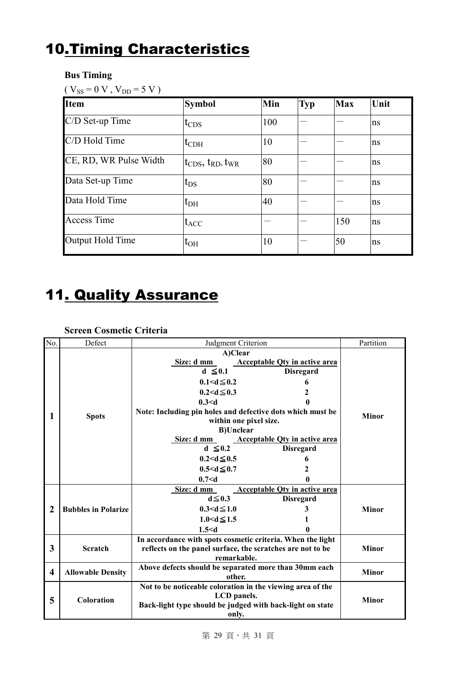## 10.Timing Characteristics

#### **Bus Timing**

| <b>Item</b>            | <b>Symbol</b>                                                                 | Min | <b>Typ</b> | <b>Max</b> | Unit |
|------------------------|-------------------------------------------------------------------------------|-----|------------|------------|------|
| C/D Set-up Time        | $t_{CDS}$                                                                     | 100 |            |            | ns   |
| C/D Hold Time          | $t_{CDH}$                                                                     | 10  |            |            | ns   |
| CE, RD, WR Pulse Width | $\mathfrak{t}_{\text{CDS}},\mathfrak{t}_{\text{RD}},\mathfrak{t}_{\text{WR}}$ | 80  |            |            | ns   |
| Data Set-up Time       | $t_{DS}$                                                                      | 80  |            |            | ns   |
| Data Hold Time         | $t_{\rm DH}$                                                                  | 40  |            |            | ns   |
| <b>Access Time</b>     | $ t_{ACC} $                                                                   |     |            | 150        | ns   |
| Output Hold Time       | $t_{OH}$                                                                      | 10  |            | 50         | ns   |

## 11. Quality Assurance

#### **Screen Cosmetic Criteria**

| No. | Defect                     | Judgment Criterion                                                                                                                                                                                                                                                                                                                                                                                                             | Partition    |  |  |
|-----|----------------------------|--------------------------------------------------------------------------------------------------------------------------------------------------------------------------------------------------------------------------------------------------------------------------------------------------------------------------------------------------------------------------------------------------------------------------------|--------------|--|--|
| 1   | <b>Spots</b>               | A)Clear<br><b>Acceptable Qty in active area</b><br>Size: d mm<br>$d \leq 0.1$<br><b>Disregard</b><br>$0.1 < d \leq 0.2$<br>6<br>$0.2 < d \leq 0.3$<br>2<br>0.3 < d<br>Note: Including pin holes and defective dots which must be<br>within one pixel size.<br><b>B)Unclear</b><br>Size: d mm<br><b>Acceptable Qty in active area</b><br><b>Disregard</b><br>$d \leq 0.2$<br>$0.2 < d \leq 0.5$<br>6<br>$0.5 < d \leq 0.7$<br>2 | <b>Minor</b> |  |  |
|     |                            | 0.7 < d                                                                                                                                                                                                                                                                                                                                                                                                                        |              |  |  |
| 2   | <b>Bubbles in Polarize</b> | Size: d mm<br><b>Acceptable Oty in active area</b><br>$d \leq 0.3$<br><b>Disregard</b><br>$0.3 < d \le 1.0$<br>3<br>$1.0 < d \le 1.5$<br>1.5 < d                                                                                                                                                                                                                                                                               | <b>Minor</b> |  |  |
| 3   | Scratch                    | In accordance with spots cosmetic criteria. When the light<br>reflects on the panel surface, the scratches are not to be<br>remarkable.                                                                                                                                                                                                                                                                                        | <b>Minor</b> |  |  |
| 4   | <b>Allowable Density</b>   | Above defects should be separated more than 30mm each<br>other.                                                                                                                                                                                                                                                                                                                                                                | <b>Minor</b> |  |  |
| 5   | Coloration                 | Not to be noticeable coloration in the viewing area of the<br>LCD panels.<br>Back-light type should be judged with back-light on state<br>only.                                                                                                                                                                                                                                                                                |              |  |  |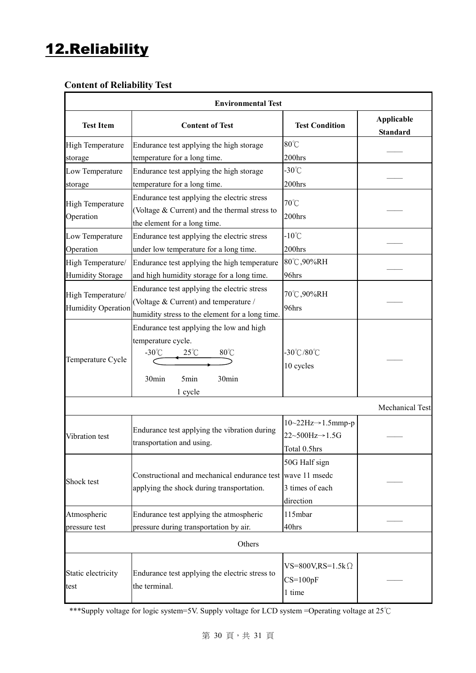## 12.Reliability

#### **Content of Reliability Test**

| <b>Environmental Test</b>                    |                                                                                                                                                            |                                                                                          |                                      |  |  |  |  |
|----------------------------------------------|------------------------------------------------------------------------------------------------------------------------------------------------------------|------------------------------------------------------------------------------------------|--------------------------------------|--|--|--|--|
| <b>Test Item</b>                             | <b>Content of Test</b>                                                                                                                                     | <b>Test Condition</b>                                                                    | <b>Applicable</b><br><b>Standard</b> |  |  |  |  |
| <b>High Temperature</b><br>storage           | Endurance test applying the high storage<br>temperature for a long time.                                                                                   | $80^{\circ}$ C<br>200hrs                                                                 |                                      |  |  |  |  |
| Low Temperature<br>storage                   | Endurance test applying the high storage<br>temperature for a long time.                                                                                   | $-30^{\circ}$ C<br>200hrs                                                                |                                      |  |  |  |  |
| <b>High Temperature</b><br>Operation         | Endurance test applying the electric stress<br>70°C<br>(Voltage & Current) and the thermal stress to<br>200hrs<br>the element for a long time.             |                                                                                          |                                      |  |  |  |  |
| Low Temperature<br>Operation                 | Endurance test applying the electric stress<br>under low temperature for a long time.                                                                      | $-10^{\circ}$ C<br>200hrs                                                                |                                      |  |  |  |  |
| High Temperature/<br><b>Humidity Storage</b> | Endurance test applying the high temperature<br>and high humidity storage for a long time.                                                                 | 80°C,90%RH<br>96hrs                                                                      |                                      |  |  |  |  |
| High Temperature/<br>Humidity Operation      | Endurance test applying the electric stress<br>(Voltage & Current) and temperature /<br>humidity stress to the element for a long time.                    | 70℃,90%RH<br>96hrs                                                                       |                                      |  |  |  |  |
| Temperature Cycle                            | Endurance test applying the low and high<br>temperature cycle.<br>$-30^{\circ}$ C<br>$80^{\circ}$ C<br>$25^{\circ}$ C<br>5min<br>30min<br>30min<br>1 cycle | $-30^{\circ}$ C/80 $^{\circ}$ C<br>10 cycles                                             |                                      |  |  |  |  |
| <b>Mechanical Test</b>                       |                                                                                                                                                            |                                                                                          |                                      |  |  |  |  |
| Vibration test                               | Endurance test applying the vibration during<br>transportation and using.                                                                                  | $10~22$ Hz $\rightarrow$ 1.5mmp-p<br>$22 \sim 500$ Hz $\rightarrow$ 1.5G<br>Total 0.5hrs |                                      |  |  |  |  |
| Shock test                                   | 50G Half sign<br>Constructional and mechanical endurance test wave 11 msedc<br>3 times of each<br>applying the shock during transportation.<br>direction   |                                                                                          |                                      |  |  |  |  |
| Atmospheric<br>pressure test                 | Endurance test applying the atmospheric<br>pressure during transportation by air.                                                                          | 115mbar<br>40hrs                                                                         |                                      |  |  |  |  |
|                                              | Others                                                                                                                                                     |                                                                                          |                                      |  |  |  |  |
| Static electricity<br>test                   | Endurance test applying the electric stress to<br>the terminal.                                                                                            | VS=800V,RS=1.5k $\Omega$<br>$CS=100pF$<br>1 time                                         |                                      |  |  |  |  |

\*\*\*Supply voltage for logic system=5V. Supply voltage for LCD system =Operating voltage at 25℃